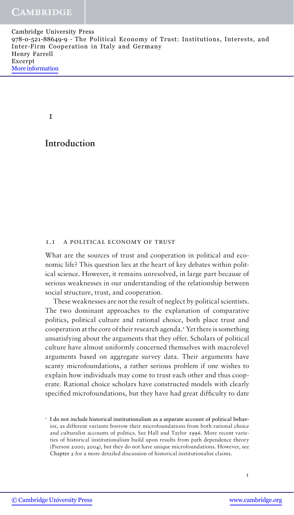Cambridge University Press 978-0-521-88649-9 - The Political Economy of Trust: Institutions, Interests, and Inter-Firm Cooperation in Italy and Germany Henry Farrell Excerpt [More information](http://www.cambridge.org/9780521886499)

1

# **Introduction**

## 1.1 A political economy of trust

What are the sources of trust and cooperation in political and economic life? This question lies at the heart of key debates within political science. However, it remains unresolved, in large part because of serious weaknesses in our understanding of the relationship between social structure, trust, and cooperation.

These weaknesses are not the result of neglect by political scientists. The two dominant approaches to the explanation of comparative politics, political culture and rational choice, both place trust and cooperation at the core of their research agenda.<sup>1</sup> Yet there is something unsatisfying about the arguments that they offer. Scholars of political culture have almost uniformly concerned themselves with macrolevel arguments based on aggregate survey data. Their arguments have scanty microfoundations, a rather serious problem if one wishes to explain how individuals may come to trust each other and thus cooperate. Rational choice scholars have constructed models with clearly specified microfoundations, but they have had great difficulty to date

 $1$  I do not include historical institutionalism as a separate account of political behavior, as different variants borrow their microfoundations from both rational choice and culturalist accounts of politics. See Hall and Taylor 1996. More recent varieties of historical institutionalism build upon results from path dependence theory (Pierson 2000; 2004), but they do not have unique microfoundations. However, see Chapter 2 for a more detailed discussion of historical institutionalist claims.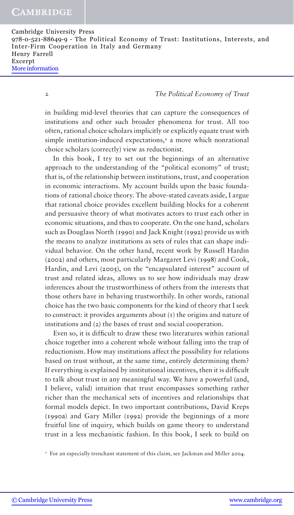Cambridge University Press 978-0-521-88649-9 - The Political Economy of Trust: Institutions, Interests, and Inter-Firm Cooperation in Italy and Germany Henry Farrell Excerpt [More information](http://www.cambridge.org/9780521886499)

2 *The Political Economy of Trust*

in building mid-level theories that can capture the consequences of institutions and other such broader phenomena for trust. All too often, rational choice scholars implicitly or explicitly equate trust with simple institution-induced expectations, $2$  a move which nonrational choice scholars (correctly) view as reductionist.

In this book, I try to set out the beginnings of an alternative approach to the understanding of the "political economy" of trust; that is, of the relationship between institutions, trust, and cooperation in economic interactions. My account builds upon the basic foundations of rational choice theory. The above-stated caveats aside, I argue that rational choice provides excellent building blocks for a coherent and persuasive theory of what motivates actors to trust each other in economic situations, and thus to cooperate. On the one hand, scholars such as Douglass North (1990) and Jack Knight (1992) provide us with the means to analyze institutions as sets of rules that can shape individual behavior. On the other hand, recent work by Russell Hardin (2002) and others, most particularly Margaret Levi (1998) and Cook, Hardin, and Levi (2005), on the "encapsulated interest" account of trust and related ideas, allows us to see how individuals may draw inferences about the trustworthiness of others from the interests that those others have in behaving trustworthily. In other words, rational choice has the two basic components for the kind of theory that I seek to construct: it provides arguments about  $(i)$  the origins and nature of institutions and (2) the bases of trust and social cooperation.

Even so, it is difficult to draw these two literatures within rational choice together into a coherent whole without falling into the trap of reductionism. How may institutions affect the possibility for relations based on trust without, at the same time, entirely determining them? If everything is explained by institutional incentives, then it is difficult to talk about trust in any meaningful way. We have a powerful (and, I believe, valid) intuition that trust encompasses something rather richer than the mechanical sets of incentives and relationships that formal models depict. In two important contributions, David Kreps (1990a) and Gary Miller (1992) provide the beginnings of a more fruitful line of inquiry, which builds on game theory to understand trust in a less mechanistic fashion. In this book, I seek to build on

<sup>2</sup> For an especially trenchant statement of this claim, see Jackman and Miller 2004.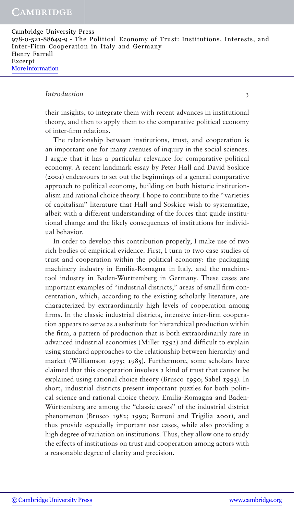## *Introduction* 3

their insights, to integrate them with recent advances in institutional theory, and then to apply them to the comparative political economy of inter-firm relations.

The relationship between institutions, trust, and cooperation is an important one for many avenues of inquiry in the social sciences. I argue that it has a particular relevance for comparative political economy. A recent landmark essay by Peter Hall and David Soskice (2001) endeavours to set out the beginnings of a general comparative approach to political economy, building on both historic institutionalism and rational choice theory. I hope to contribute to the " varieties of capitalism" literature that Hall and Soskice wish to systematize, albeit with a different understanding of the forces that guide institutional change and the likely consequences of institutions for individual behavior.

In order to develop this contribution properly, I make use of two rich bodies of empirical evidence. First, I turn to two case studies of trust and cooperation within the political economy: the packaging machinery industry in Emilia-Romagna in Italy, and the machinetool industry in Baden-Württemberg in Germany. These cases are important examples of "industrial districts," areas of small firm concentration, which, according to the existing scholarly literature, are characterized by extraordinarily high levels of cooperation among firms. In the classic industrial districts, intensive inter-firm cooperation appears to serve as a substitute for hierarchical production within the firm, a pattern of production that is both extraordinarily rare in advanced industrial economies ( Miller 1992) and difficult to explain using standard approaches to the relationship between hierarchy and market (Williamson 1975; 1985). Furthermore, some scholars have claimed that this cooperation involves a kind of trust that cannot be explained using rational choice theory (Brusco 1990; Sabel 1993). In short, industrial districts present important puzzles for both political science and rational choice theory. Emilia-Romagna and Baden-Württemberg are among the "classic cases" of the industrial district phenomenon (Brusco 1982; 1990; Burroni and Trigilia 2001), and thus provide especially important test cases, while also providing a high degree of variation on institutions. Thus, they allow one to study the effects of institutions on trust and cooperation among actors with a reasonable degree of clarity and precision.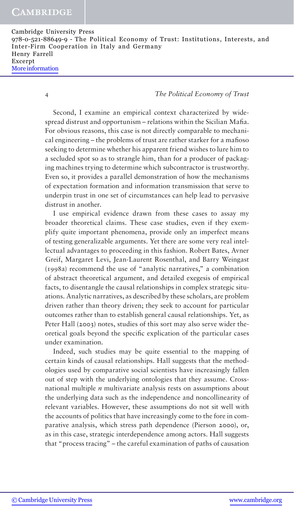Second, I examine an empirical context characterized by widespread distrust and opportunism – relations within the Sicilian Mafia. For obvious reasons, this case is not directly comparable to mechanical engineering – the problems of trust are rather starker for a mafioso seeking to determine whether his apparent friend wishes to lure him to a secluded spot so as to strangle him, than for a producer of packaging machines trying to determine which subcontractor is trustworthy. Even so, it provides a parallel demonstration of how the mechanisms of expectation formation and information transmission that serve to underpin trust in one set of circumstances can help lead to pervasive distrust in another.

I use empirical evidence drawn from these cases to assay my broader theoretical claims. These case studies, even if they exemplify quite important phenomena, provide only an imperfect means of testing generalizable arguments. Yet there are some very real intellectual advantages to proceeding in this fashion. Robert Bates, Avner Greif, Margaret Levi, Jean-Laurent Rosenthal, and Barry Weingast (1998a) recommend the use of " analytic narratives," a combination of abstract theoretical argument, and detailed exegesis of empirical facts, to disentangle the causal relationships in complex strategic situations. Analytic narratives, as described by these scholars, are problem driven rather than theory driven; they seek to account for particular outcomes rather than to establish general causal relationships. Yet, as Peter Hall (2003) notes, studies of this sort may also serve wider theoretical goals beyond the specific explication of the particular cases under examination.

Indeed, such studies may be quite essential to the mapping of certain kinds of causal relationships. Hall suggests that the methodologies used by comparative social scientists have increasingly fallen out of step with the underlying ontologies that they assume. Crossnational multiple *n* multivariate analysis rests on assumptions about the underlying data such as the independence and noncollinearity of relevant variables. However, these assumptions do not sit well with the accounts of politics that have increasingly come to the fore in comparative analysis, which stress path dependence (Pierson 2000), or, as in this case, strategic interdependence among actors. Hall suggests that " process tracing" – the careful examination of paths of causation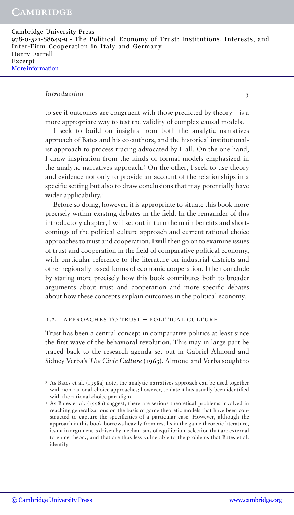## *Introduction* 5

to see if outcomes are congruent with those predicted by theory – is a more appropriate way to test the validity of complex causal models.

I seek to build on insights from both the analytic narratives approach of Bates and his co-authors, and the historical institutionalist approach to process tracing advocated by Hall. On the one hand, I draw inspiration from the kinds of formal models emphasized in the analytic narratives approach.3 On the other, I seek to use theory and evidence not only to provide an account of the relationships in a specific setting but also to draw conclusions that may potentially have wider applicability.4

Before so doing, however, it is appropriate to situate this book more precisely within existing debates in the field. In the remainder of this introductory chapter, I will set out in turn the main benefits and shortcomings of the political culture approach and current rational choice approaches to trust and cooperation. I will then go on to examine issues of trust and cooperation in the field of comparative political economy, with particular reference to the literature on industrial districts and other regionally based forms of economic cooperation. I then conclude by stating more precisely how this book contributes both to broader arguments about trust and cooperation and more specific debates about how these concepts explain outcomes in the political economy.

#### 1.2 Approaches to Trust – Political Culture

Trust has been a central concept in comparative politics at least since the first wave of the behavioral revolution. This may in large part be traced back to the research agenda set out in Gabriel Almond and Sidney Verba's *The Civic Culture* (1963). Almond and Verba sought to

<sup>3</sup> As Bates et al. (1998a) note, the analytic narratives approach can be used together with non-rational-choice approaches; however, to date it has usually been identified with the rational choice paradigm.

<sup>4</sup> As Bates et al. (1998a) suggest, there are serious theoretical problems involved in reaching generalizations on the basis of game theoretic models that have been constructed to capture the specificities of a particular case. However, although the approach in this book borrows heavily from results in the game theoretic literature, its main argument is driven by mechanisms of equilibrium selection that are external to game theory, and that are thus less vulnerable to the problems that Bates et al. identify.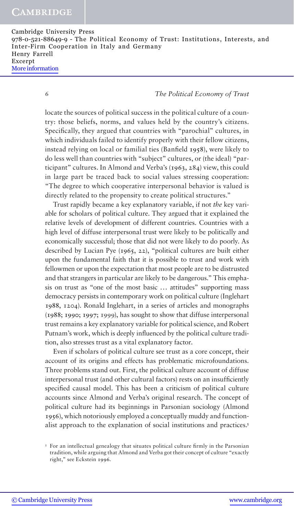locate the sources of political success in the political culture of a country: those beliefs, norms, and values held by the country's citizens. Specifically, they argued that countries with "parochial" cultures, in which individuals failed to identify properly with their fellow citizens, instead relying on local or familial ties (Banfield 1958), were likely to do less well than countries with "subject" cultures, or (the ideal) "participant" cultures. In Almond and Verba's (1963, 284) view, this could in large part be traced back to social values stressing cooperation: "The degree to which cooperative interpersonal behavior is valued is directly related to the propensity to create political structures."

Trust rapidly became a key explanatory variable, if not *the* key variable for scholars of political culture. They argued that it explained the relative levels of development of different countries. Countries with a high level of diffuse interpersonal trust were likely to be politically and economically successful; those that did not were likely to do poorly. As described by Lucian Pye (1965, 22), "political cultures are built either upon the fundamental faith that it is possible to trust and work with fellowmen or upon the expectation that most people are to be distrusted and that strangers in particular are likely to be dangerous." This emphasis on trust as "one of the most basic ... attitudes" supporting mass democracy persists in contemporary work on political culture (Inglehart 1988, 1204). Ronald Inglehart, in a series of articles and monographs (1988; 1990; 1997; 1999), has sought to show that diffuse interpersonal trust remains a key explanatory variable for political science, and Robert Putnam 's work, which is deeply influenced by the political culture tradition, also stresses trust as a vital explanatory factor.

Even if scholars of political culture see trust as a core concept, their account of its origins and effects has problematic microfoundations. Three problems stand out. First, the political culture account of diffuse interpersonal trust (and other cultural factors) rests on an insufficiently specified causal model. This has been a criticism of political culture accounts since Almond and Verba's original research. The concept of political culture had its beginnings in Parsonian sociology (Almond 1956), which notoriously employed a conceptually muddy and functionalist approach to the explanation of social institutions and practices.<sup>5</sup>

<sup>&</sup>lt;sup>5</sup> For an intellectual genealogy that situates political culture firmly in the Parsonian tradition, while arguing that Almond and Verba got their concept of culture "exactly right," see Eckstein 1996.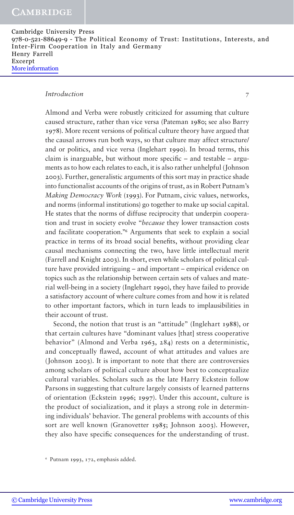Cambridge University Press 978-0-521-88649-9 - The Political Economy of Trust: Institutions, Interests, and Inter-Firm Cooperation in Italy and Germany Henry Farrell Excerpt [More information](http://www.cambridge.org/9780521886499)

## *Introduction* 7

Almond and Verba were robustly criticized for assuming that culture caused structure, rather than vice versa (Pateman 1980; see also Barry 1978). More recent versions of political culture theory have argued that the causal arrows run both ways, so that culture may affect structure/ and or politics, and vice versa (Inglehart 1990). In broad terms, this claim is inarguable, but without more specific – and testable – arguments as to how each relates to each, it is also rather unhelpful (Johnson 2003). Further, generalistic arguments of this sort may in practice shade into functionalist accounts of the origins of trust, as in Robert Putnam 's *Making Democracy Work* (1993). For Putnam, civic values, networks, and norms (informal institutions) go together to make up social capital. He states that the norms of diffuse reciprocity that underpin cooperation and trust in society evolve "*because* they lower transaction costs and facilitate cooperation."6 Arguments that seek to explain a social practice in terms of its broad social benefits, without providing clear causal mechanisms connecting the two, have little intellectual merit (Farrell and Knight 2003). In short, even while scholars of political culture have provided intriguing – and important – empirical evidence on topics such as the relationship between certain sets of values and material well-being in a society (Inglehart 1990), they have failed to provide a satisfactory account of where culture comes from and how it is related to other important factors, which in turn leads to implausibilities in their account of trust.

Second, the notion that trust is an "attitude" (Inglehart 1988), or that certain cultures have "dominant values [that] stress cooperative behavior" (Almond and Verba 1963, 284) rests on a deterministic, and conceptually flawed, account of what attitudes and values are (Johnson 2003). It is important to note that there are controversies among scholars of political culture about how best to conceptualize cultural variables. Scholars such as the late Harry Eckstein follow Parsons in suggesting that culture largely consists of learned patterns of orientation (Eckstein 1996; 1997). Under this account, culture is the product of socialization, and it plays a strong role in determining individuals' behavior. The general problems with accounts of this sort are well known (Granovetter 1985; Johnson 2003). However, they also have specific consequences for the understanding of trust.

<sup>6</sup> Putnam 1993, 172, emphasis added.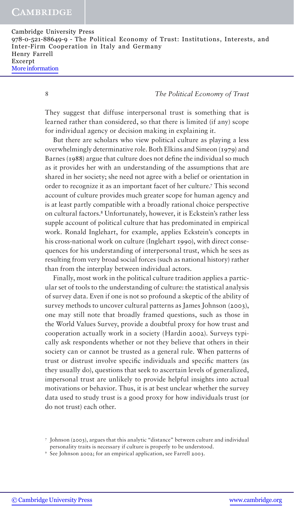They suggest that diffuse interpersonal trust is something that is learned rather than considered, so that there is limited (if any) scope for individual agency or decision making in explaining it.

But there are scholars who view political culture as playing a less overwhelmingly determinative role. Both Elkins and Simeon (1979) and Barnes (1988) argue that culture does not define the individual so much as it provides her with an understanding of the assumptions that are shared in her society; she need not agree with a belief or orientation in order to recognize it as an important facet of her culture.7 This second account of culture provides much greater scope for human agency and is at least partly compatible with a broadly rational choice perspective on cultural factors.8 Unfortunately, however, it is Eckstein's rather less supple account of political culture that has predominated in empirical work. Ronald Inglehart, for example, applies Eckstein's concepts in his cross-national work on culture (Inglehart 1990), with direct consequences for his understanding of interpersonal trust, which he sees as resulting from very broad social forces (such as national history) rather than from the interplay between individual actors.

Finally, most work in the political culture tradition applies a particular set of tools to the understanding of culture: the statistical analysis of survey data. Even if one is not so profound a skeptic of the ability of survey methods to uncover cultural patterns as James Johnson (2003), one may still note that broadly framed questions, such as those in the World Values Survey, provide a doubtful proxy for how trust and cooperation actually work in a society (Hardin 2002). Surveys typically ask respondents whether or not they believe that others in their society can or cannot be trusted as a general rule. When patterns of trust or distrust involve specific individuals and specific matters (as they usually do), questions that seek to ascertain levels of generalized, impersonal trust are unlikely to provide helpful insights into actual motivations or behavior. Thus, it is at best unclear whether the survey data used to study trust is a good proxy for how individuals trust (or do not trust) each other.

<sup>7</sup> Johnson (2003), argues that this analytic "distance" between culture and individual personality traits is necessary if culture is properly to be understood.

<sup>9</sup> See Johnson 2002; for an empirical application, see Farrell 2003.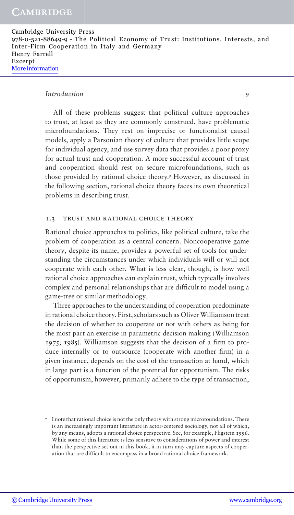### *Introduction* 9

All of these problems suggest that political culture approaches to trust, at least as they are commonly construed, have problematic microfoundations. They rest on imprecise or functionalist causal models, apply a Parsonian theory of culture that provides little scope for individual agency, and use survey data that provides a poor proxy for actual trust and cooperation. A more successful account of trust and cooperation should rest on secure microfoundations, such as those provided by rational choice theory.9 However, as discussed in the following section, rational choice theory faces its own theoretical problems in describing trust.

## 1.3 Trust and Rational Choice Theory

Rational choice approaches to politics, like political culture, take the problem of cooperation as a central concern. Noncooperative game theory, despite its name, provides a powerful set of tools for understanding the circumstances under which individuals will or will not cooperate with each other. What is less clear, though, is how well rational choice approaches can explain trust, which typically involves complex and personal relationships that are difficult to model using a game-tree or similar methodology.

Three approaches to the understanding of cooperation predominate in rational choice theory. First, scholars such as Oliver Williamson treat the decision of whether to cooperate or not with others as being for the most part an exercise in parametric decision making (Williamson 1975; 1985). Williamson suggests that the decision of a firm to produce internally or to outsource (cooperate with another firm) in a given instance, depends on the cost of the transaction at hand, which in large part is a function of the potential for opportunism. The risks of opportunism, however, primarily adhere to the type of transaction,

<sup>9</sup> I note that rational choice is not the only theory with strong microfoundations. There is an increasingly important literature in actor-centered sociology, not all of which, by any means, adopts a rational choice perspective. See, for example, Fligstein 1996. While some of this literature is less sensitive to considerations of power and interest than the perspective set out in this book, it in turn may capture aspects of cooperation that are difficult to encompass in a broad rational choice framework.